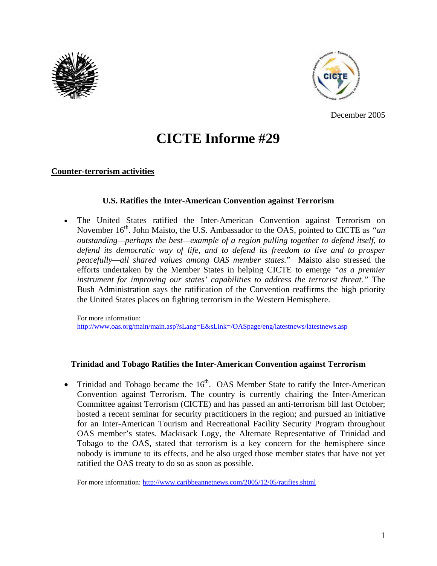



December 2005

# **CICTE Informe #29**

## **Counter-terrorism activities**

## **U.S. Ratifies the Inter-American Convention against Terrorism**

• The United States ratified the Inter-American Convention against Terrorism on November 16<sup>th</sup>. John Maisto, the U.S. Ambassador to the OAS, pointed to CICTE as "an *outstanding—perhaps the best—example of a region pulling together to defend itself, to defend its democratic way of life, and to defend its freedom to live and to prosper peacefully—all shared values among OAS member states.*" Maisto also stressed the efforts undertaken by the Member States in helping CICTE to emerge *"as a premier instrument for improving our states' capabilities to address the terrorist threat."* The Bush Administration says the ratification of the Convention reaffirms the high priority the United States places on fighting terrorism in the Western Hemisphere.

For more information: http://www.oas.org/main/main.asp?sLang=E&sLink=/OASpage/eng/latestnews/latestnews.asp

## **Trinidad and Tobago Ratifies the Inter-American Convention against Terrorism**

• Trinidad and Tobago became the  $16<sup>th</sup>$ . OAS Member State to ratify the Inter-American Convention against Terrorism. The country is currently chairing the Inter-American Committee against Terrorism (CICTE) and has passed an anti-terrorism bill last October; hosted a recent seminar for security practitioners in the region; and pursued an initiative for an Inter-American Tourism and Recreational Facility Security Program throughout OAS member's states. Mackisack Logy, the Alternate Representative of Trinidad and Tobago to the OAS, stated that terrorism is a key concern for the hemisphere since nobody is immune to its effects, and he also urged those member states that have not yet ratified the OAS treaty to do so as soon as possible.

For more information: http://www.caribbeannetnews.com/2005/12/05/ratifies.shtml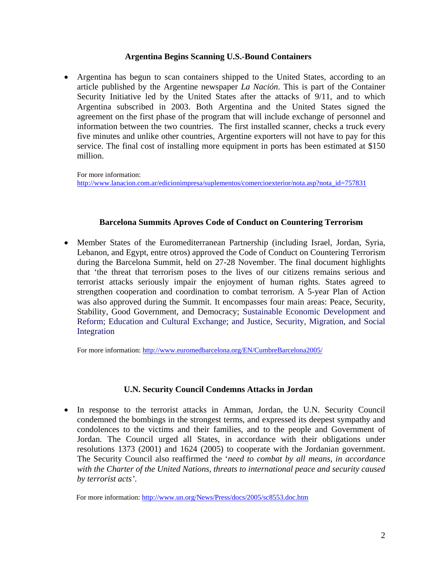## **Argentina Begins Scanning U.S.-Bound Containers**

• Argentina has begun to scan containers shipped to the United States, according to an article published by the Argentine newspaper *La Nación*. This is part of the Container Security Initiative led by the United States after the attacks of 9/11, and to which Argentina subscribed in 2003. Both Argentina and the United States signed the agreement on the first phase of the program that will include exchange of personnel and information between the two countries. The first installed scanner, checks a truck every five minutes and unlike other countries, Argentine exporters will not have to pay for this service. The final cost of installing more equipment in ports has been estimated at \$150 million.

For more information:

http://www.lanacion.com.ar/edicionimpresa/suplementos/comercioexterior/nota.asp?nota\_id=757831

#### **Barcelona Summits Aproves Code of Conduct on Countering Terrorism**

• Member States of the Euromediterranean Partnership (including Israel, Jordan, Syria, Lebanon, and Egypt, entre otros) approved the Code of Conduct on Countering Terrorism during the Barcelona Summit, held on 27-28 November. The final document highlights that 'the threat that terrorism poses to the lives of our citizens remains serious and terrorist attacks seriously impair the enjoyment of human rights. States agreed to strengthen cooperation and coordination to combat terrorism. A 5-year Plan of Action was also approved during the Summit. It encompasses four main areas: Peace, Security, Stability, Good Government, and Democracy; Sustainable Economic Development and Reform; Education and Cultural Exchange; and Justice, Security, Migration, and Social Integration

For more information: http://www.euromedbarcelona.org/EN/CumbreBarcelona2005/

## **U.N. Security Council Condemns Attacks in Jordan**

• In response to the terrorist attacks in Amman, Jordan, the U.N. Security Council condemned the bombings in the strongest terms, and expressed its deepest sympathy and condolences to the victims and their families, and to the people and Government of Jordan. The Council urged all States, in accordance with their obligations under resolutions 1373 (2001) and 1624 (2005) to cooperate with the Jordanian government. The Security Council also reaffirmed the '*need to combat by all means, in accordance with the Charter of the United Nations, threats to international peace and security caused by terrorist acts'*.

For more information: http://www.un.org/News/Press/docs/2005/sc8553.doc.htm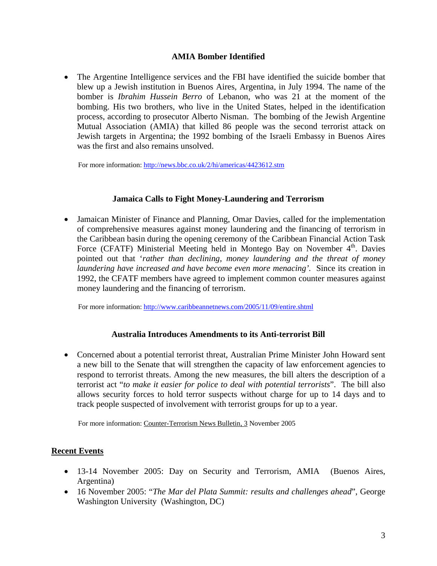## **AMIA Bomber Identified**

• The Argentine Intelligence services and the FBI have identified the suicide bomber that blew up a Jewish institution in Buenos Aires, Argentina, in July 1994. The name of the bomber is *Ibrahim Hussein Berro* of Lebanon, who was 21 at the moment of the bombing. His two brothers, who live in the United States, helped in the identification process, according to prosecutor Alberto Nisman. The bombing of the Jewish Argentine Mutual Association (AMIA) that killed 86 people was the second terrorist attack on Jewish targets in Argentina; the 1992 bombing of the Israeli Embassy in Buenos Aires was the first and also remains unsolved.

For more information: http://news.bbc.co.uk/2/hi/americas/4423612.stm

## **Jamaica Calls to Fight Money-Laundering and Terrorism**

• Jamaican Minister of Finance and Planning, Omar Davies, called for the implementation of comprehensive measures against money laundering and the financing of terrorism in the Caribbean basin during the opening ceremony of the Caribbean Financial Action Task Force (CFATF) Ministerial Meeting held in Montego Bay on November  $4<sup>th</sup>$ . Davies pointed out that '*rather than declining, money laundering and the threat of money laundering have increased and have become even more menacing'.* Since its creation in 1992, the CFATF members have agreed to implement common counter measures against money laundering and the financing of terrorism.

For more information: http://www.caribbeannetnews.com/2005/11/09/entire.shtml

## **Australia Introduces Amendments to its Anti-terrorist Bill**

• Concerned about a potential terrorist threat, Australian Prime Minister John Howard sent a new bill to the Senate that will strengthen the capacity of law enforcement agencies to respond to terrorist threats. Among the new measures, the bill alters the description of a terrorist act "*to make it easier for police to deal with potential terrorists*". The bill also allows security forces to hold terror suspects without charge for up to 14 days and to track people suspected of involvement with terrorist groups for up to a year.

For more information: Counter-Terrorism News Bulletin, 3 November 2005

## **Recent Events**

- 13-14 November 2005: Day on Security and Terrorism, AMIA (Buenos Aires, Argentina)
- 16 November 2005: "*The Mar del Plata Summit: results and challenges ahead*", George Washington University (Washington, DC)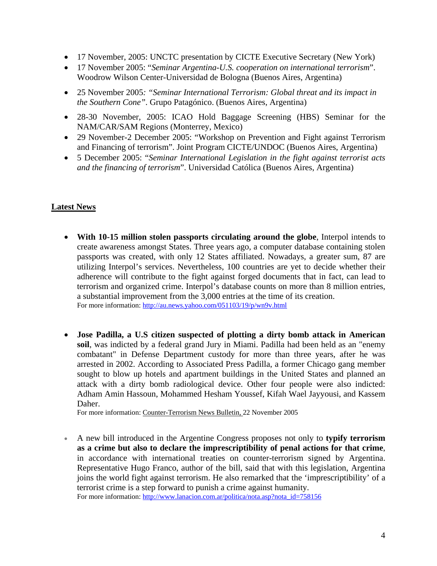- 17 November, 2005: UNCTC presentation by CICTE Executive Secretary (New York)
- 17 November 2005: "*Seminar Argentina-U.S. cooperation on international terrorism*". Woodrow Wilson Center-Universidad de Bologna (Buenos Aires, Argentina)
- 25 November 2005*: "Seminar International Terrorism: Global threat and its impact in the Southern Cone"*. Grupo Patagónico. (Buenos Aires, Argentina)
- 28-30 November, 2005: ICAO Hold Baggage Screening (HBS) Seminar for the NAM/CAR/SAM Regions (Monterrey, Mexico)
- 29 November-2 December 2005: "Workshop on Prevention and Fight against Terrorism and Financing of terrorism". Joint Program CICTE/UNDOC (Buenos Aires, Argentina)
- 5 December 2005: "*Seminar International Legislation in the fight against terrorist acts and the financing of terrorism*". Universidad Católica (Buenos Aires, Argentina)

## **Latest News**

- **With 10-15 million stolen passports circulating around the globe**, Interpol intends to create awareness amongst States. Three years ago, a computer database containing stolen passports was created, with only 12 States affiliated. Nowadays, a greater sum, 87 are utilizing Interpol's services. Nevertheless, 100 countries are yet to decide whether their adherence will contribute to the fight against forged documents that in fact, can lead to terrorism and organized crime. Interpol's database counts on more than 8 million entries, a substantial improvement from the 3,000 entries at the time of its creation. For more information: http://au.news.yahoo.com/051103/19/p/wn9v.html
- **Jose Padilla, a U.S citizen suspected of plotting a dirty bomb attack in American soil**, was indicted by a federal grand Jury in Miami. Padilla had been held as an "enemy combatant" in Defense Department custody for more than three years, after he was arrested in 2002. According to Associated Press Padilla, a former Chicago gang member sought to blow up hotels and apartment buildings in the United States and planned an attack with a dirty bomb radiological device. Other four people were also indicted: Adham Amin Hassoun, Mohammed Hesham Youssef, Kifah Wael Jayyousi, and Kassem Daher.

For more information: Counter-Terrorism News Bulletin, 22 November 2005

• A new bill introduced in the Argentine Congress proposes not only to **typify terrorism as a crime but also to declare the imprescriptibility of penal actions for that crime**, in accordance with international treaties on counter-terrorism signed by Argentina. Representative Hugo Franco, author of the bill, said that with this legislation, Argentina joins the world fight against terrorism. He also remarked that the 'imprescriptibility' of a terrorist crime is a step forward to punish a crime against humanity. For more information: http://www.lanacion.com.ar/politica/nota.asp?nota\_id=758156